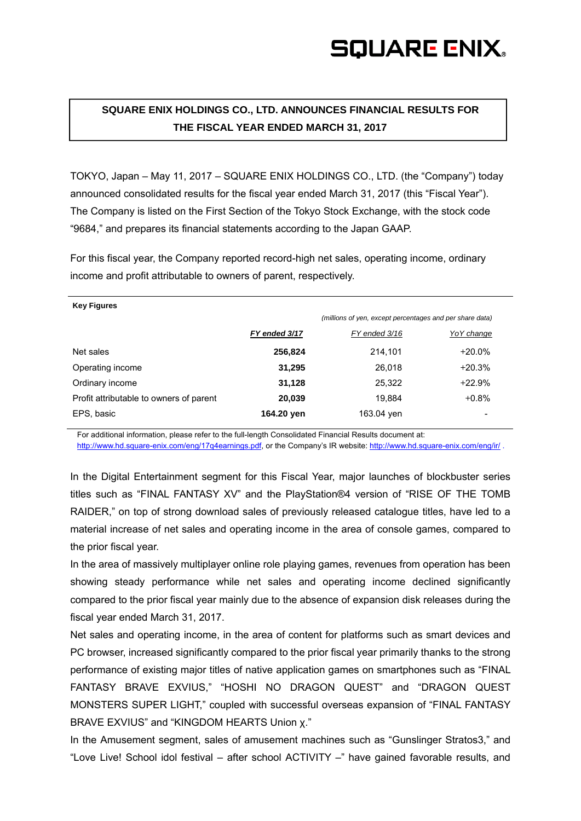## **SQUARE ENIX.**

### **SQUARE ENIX HOLDINGS CO., LTD. ANNOUNCES FINANCIAL RESULTS FOR THE FISCAL YEAR ENDED MARCH 31, 2017**

TOKYO, Japan – May 11, 2017 – SQUARE ENIX HOLDINGS CO., LTD. (the "Company") today announced consolidated results for the fiscal year ended March 31, 2017 (this "Fiscal Year"). The Company is listed on the First Section of the Tokyo Stock Exchange, with the stock code "9684," and prepares its financial statements according to the Japan GAAP.

For this fiscal year, the Company reported record-high net sales, operating income, ordinary income and profit attributable to owners of parent, respectively.

|               | (millions of yen, except percentages and per share data) |             |
|---------------|----------------------------------------------------------|-------------|
| FY ended 3/17 | FY ended 3/16                                            | Yo Y change |
| 256,824       | 214.101                                                  | $+20.0\%$   |
| 31,295        | 26.018                                                   | $+20.3%$    |
| 31,128        | 25.322                                                   | $+22.9%$    |
| 20,039        | 19.884                                                   | $+0.8%$     |
| 164.20 yen    | 163.04 yen                                               |             |
|               |                                                          |             |

For additional information, please refer to the full-length Consolidated Financial Results document at:

http://www.hd.square-enix.com/eng/17q4earnings.pdf, or the Company's IR website: http://www.hd.square-enix.com/eng/ir/ .

In the Digital Entertainment segment for this Fiscal Year, major launches of blockbuster series titles such as "FINAL FANTASY XV" and the PlayStation®4 version of "RISE OF THE TOMB RAIDER," on top of strong download sales of previously released catalogue titles, have led to a material increase of net sales and operating income in the area of console games, compared to the prior fiscal year.

In the area of massively multiplayer online role playing games, revenues from operation has been showing steady performance while net sales and operating income declined significantly compared to the prior fiscal year mainly due to the absence of expansion disk releases during the fiscal year ended March 31, 2017.

Net sales and operating income, in the area of content for platforms such as smart devices and PC browser, increased significantly compared to the prior fiscal year primarily thanks to the strong performance of existing major titles of native application games on smartphones such as "FINAL FANTASY BRAVE EXVIUS," "HOSHI NO DRAGON QUEST" and "DRAGON QUEST MONSTERS SUPER LIGHT," coupled with successful overseas expansion of "FINAL FANTASY BRAVE EXVIUS" and "KINGDOM HEARTS Union χ."

In the Amusement segment, sales of amusement machines such as "Gunslinger Stratos3," and "Love Live! School idol festival – after school ACTIVITY –" have gained favorable results, and